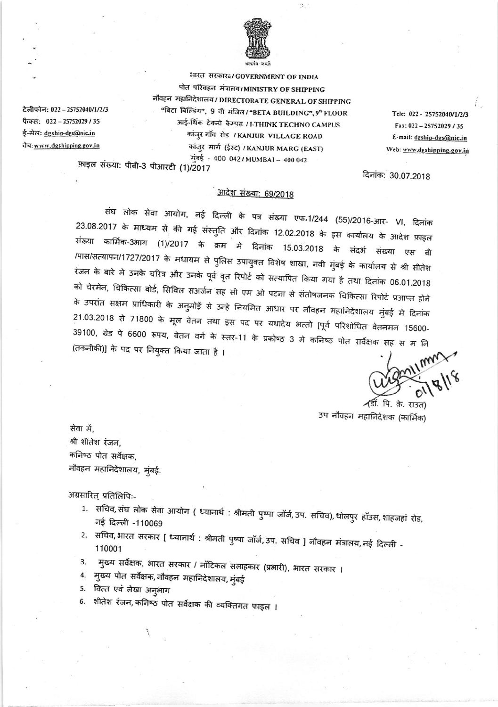

 $\mathcal{L}_{\mathcal{M}}$ 

भारत सरकार¤/GOVERNMENT OF INDIA पोत परिवहन मंत्रातय/MINISTRY OF SHIPPING नौवहन महानिदेशालय/DIRECTORATE GENERAL OF SHIPPING "बिटा बिल्डिंग", 9 वी मंजित / "BETA BUILDING", 9ª FLOOR आई-थिंक टेक्नो कैम्पस / I-THINK TECHNO CAMPUS कांजुर गाँव रोड / KANJUR VILLAGE ROAD कांजुर मार्ग (ईस्ट) / KANJUR MARG (EAST) मुंबई - 400 042/MUMBAI - 400 042

Tele: 022 - 25752040/1/2/3 Fax: 022-25752029 / 35 E-mail: dgship-dgs@nic.in Web: www.dgshipping.gov.in

दिनांक: 30.07.2018

फ़ाइल संख्या: पीबी-3 पीआरटी (1)/2017

टेलीफोन: 022 - 25752040/1/2/3

फैक्स: 022-25752029/35

ई-मेल: dgship-dgs@nic.in

वेब: www.dgshipping.gov.in

## <u>आदेश संख्या: 69/2018</u>

संघ लोक सेवा आयोग, नई दिल्ली के पत्र संख्या एफ.1/244 (55)/2016-आर- VI, दिनांक 23.08.2017 के माध्यम से की गई संस्तुति और दिनांक 12.02.2018 के इस कार्यालय के आदेश फ़ाइल संख्या कार्मिक-3भाग (1)/2017 के क्रम मे दिनांक 15.03.2018 के संदर्भ संख्या एस बी /पास/सत्यापन/1727/2017 के मधायम से पुलिस उपायुक्त विशेष शाखा, नवी मुंबई के कार्यालय से श्री सीतेश रंजन के बारे मे उनके चरित्र और उनके पूर्व वृत रिपोर्ट को सत्यापित किया गया है तथा दिनांक 06.01.2018 को चेरमेन, चिकित्सा बोर्ड, सिविल सअर्जन सह सी एम ओ पटना से संतोषजनक चिकित्सा रिपोर्ट प्रआप्त होने के उपरांत सक्षम प्राधिकारी के अनुमोड़ें से उन्हे नियमित आधार पर नौवहन महानिदेशालय मुंबई मे दिनांक 21.03.2018 से 71800 के मूल वेतन तथा इस पद पर यथादेय भत्तो [पूर्व परिशोधित वेतनमन 15600-39100, ग्रेड पे 6600 रूपय, वेतन वर्ग के स्तर-11 के प्रकोष्ठ 3 मे कनिष्ठ पोत सर्वेक्षक सह स म नि (तकनीकी)] के पद पर नियुक्त किया जाता है ।

ाँ. पि. के. राउत) उप नौवहन महानिदेशक (कार्मिक)

सेवा में, श्री शीतेश रंजन, कनिष्ठ पोत सर्वेक्षक, नौवहन महानिदेशालय, मुंबई.

अग्रसारित् प्रतिलिपिः-

- 1. सचिव, संघ लोक सेवा आयोग ( ध्यानार्थ : श्रीमती पुष्पा जॉर्ज, उप. सचिव), धोलपुर हॉउस, शाहजहां रोड, नई दिल्ली -110069
- 2. सचिव, भारत सरकार [ ध्यानार्थ : श्रीमती पुष्पा जॉर्ज, उप. सचिव ] नौवहन मंत्रालय, नई दिल्ली -110001
- मुख्य सर्वेक्षक, भारत सरकार / नॉटिकल सलाहकार (प्रभारी), भारत सरकार । 3.
- 4. मुख्य पोत सर्वेक्षक, नौवहन महानिदेशालय, मुंबई
- 5. वित्त एवं लेखा अनुभाग
- शीतेश रंजन, कनिष्ठ पोत सर्वेक्षक की व्यक्तिगत फाइल । 6.